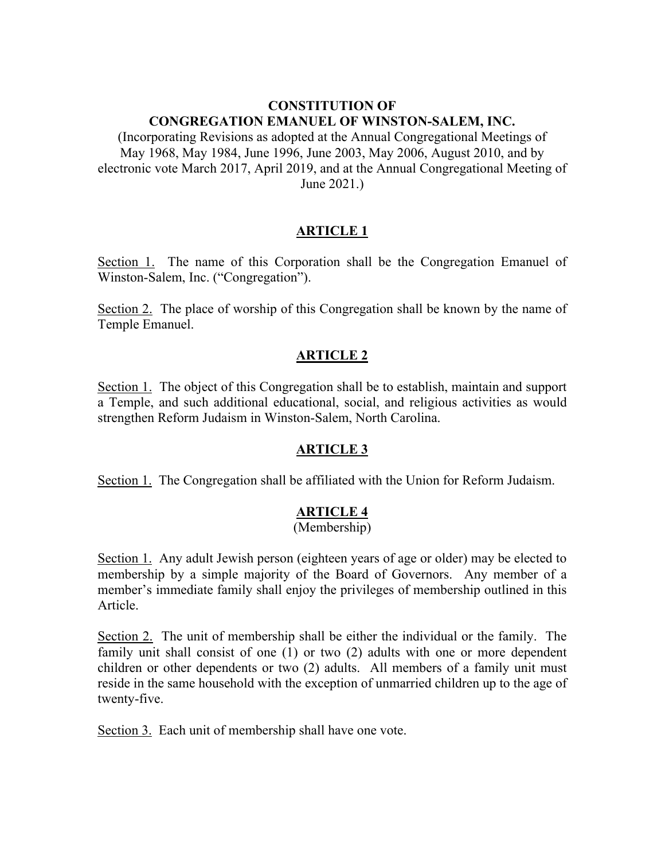### **CONSTITUTION OF CONGREGATION EMANUEL OF WINSTON-SALEM, INC.**

(Incorporating Revisions as adopted at the Annual Congregational Meetings of May 1968, May 1984, June 1996, June 2003, May 2006, August 2010, and by electronic vote March 2017, April 2019, and at the Annual Congregational Meeting of June 2021.)

### **ARTICLE 1**

Section 1. The name of this Corporation shall be the Congregation Emanuel of Winston-Salem, Inc. ("Congregation").

Section 2. The place of worship of this Congregation shall be known by the name of Temple Emanuel.

### **ARTICLE 2**

Section 1. The object of this Congregation shall be to establish, maintain and support a Temple, and such additional educational, social, and religious activities as would strengthen Reform Judaism in Winston-Salem, North Carolina.

# **ARTICLE 3**

Section 1. The Congregation shall be affiliated with the Union for Reform Judaism.

# **ARTICLE 4**

#### (Membership)

Section 1. Any adult Jewish person (eighteen years of age or older) may be elected to membership by a simple majority of the Board of Governors. Any member of a member's immediate family shall enjoy the privileges of membership outlined in this Article.

Section 2. The unit of membership shall be either the individual or the family. The family unit shall consist of one (1) or two (2) adults with one or more dependent children or other dependents or two (2) adults. All members of a family unit must reside in the same household with the exception of unmarried children up to the age of twenty-five.

Section 3. Each unit of membership shall have one vote.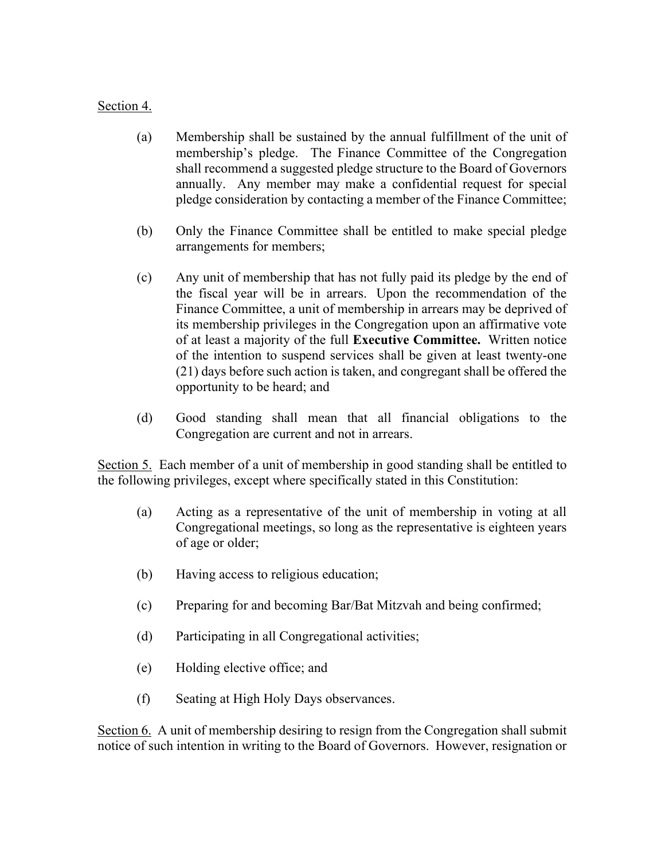### Section 4.

- (a) Membership shall be sustained by the annual fulfillment of the unit of membership's pledge. The Finance Committee of the Congregation shall recommend a suggested pledge structure to the Board of Governors annually. Any member may make a confidential request for special pledge consideration by contacting a member of the Finance Committee;
- (b) Only the Finance Committee shall be entitled to make special pledge arrangements for members;
- (c) Any unit of membership that has not fully paid its pledge by the end of the fiscal year will be in arrears. Upon the recommendation of the Finance Committee, a unit of membership in arrears may be deprived of its membership privileges in the Congregation upon an affirmative vote of at least a majority of the full **Executive Committee.** Written notice of the intention to suspend services shall be given at least twenty-one (21) days before such action is taken, and congregant shall be offered the opportunity to be heard; and
- (d) Good standing shall mean that all financial obligations to the Congregation are current and not in arrears.

Section 5. Each member of a unit of membership in good standing shall be entitled to the following privileges, except where specifically stated in this Constitution:

- (a) Acting as a representative of the unit of membership in voting at all Congregational meetings, so long as the representative is eighteen years of age or older;
- (b) Having access to religious education;
- (c) Preparing for and becoming Bar/Bat Mitzvah and being confirmed;
- (d) Participating in all Congregational activities;
- (e) Holding elective office; and
- (f) Seating at High Holy Days observances.

Section 6. A unit of membership desiring to resign from the Congregation shall submit notice of such intention in writing to the Board of Governors. However, resignation or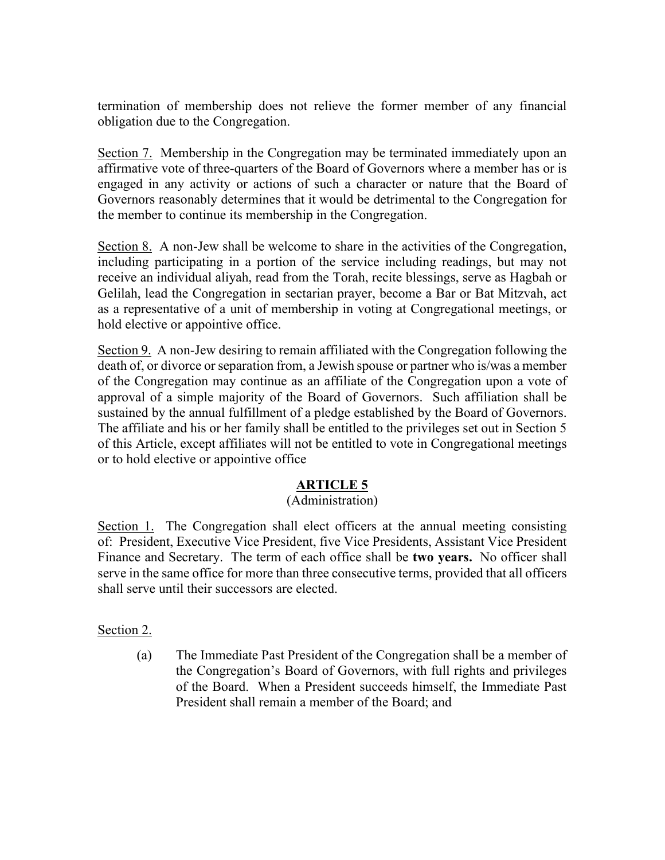termination of membership does not relieve the former member of any financial obligation due to the Congregation.

Section 7. Membership in the Congregation may be terminated immediately upon an affirmative vote of three-quarters of the Board of Governors where a member has or is engaged in any activity or actions of such a character or nature that the Board of Governors reasonably determines that it would be detrimental to the Congregation for the member to continue its membership in the Congregation.

Section 8. A non-Jew shall be welcome to share in the activities of the Congregation, including participating in a portion of the service including readings, but may not receive an individual aliyah, read from the Torah, recite blessings, serve as Hagbah or Gelilah, lead the Congregation in sectarian prayer, become a Bar or Bat Mitzvah, act as a representative of a unit of membership in voting at Congregational meetings, or hold elective or appointive office.

Section 9. A non-Jew desiring to remain affiliated with the Congregation following the death of, or divorce or separation from, a Jewish spouse or partner who is/was a member of the Congregation may continue as an affiliate of the Congregation upon a vote of approval of a simple majority of the Board of Governors. Such affiliation shall be sustained by the annual fulfillment of a pledge established by the Board of Governors. The affiliate and his or her family shall be entitled to the privileges set out in Section 5 of this Article, except affiliates will not be entitled to vote in Congregational meetings or to hold elective or appointive office

# **ARTICLE 5**

#### (Administration)

Section 1. The Congregation shall elect officers at the annual meeting consisting of: President, Executive Vice President, five Vice Presidents, Assistant Vice President Finance and Secretary. The term of each office shall be **two years.** No officer shall serve in the same office for more than three consecutive terms, provided that all officers shall serve until their successors are elected.

#### Section 2.

(a) The Immediate Past President of the Congregation shall be a member of the Congregation's Board of Governors, with full rights and privileges of the Board. When a President succeeds himself, the Immediate Past President shall remain a member of the Board; and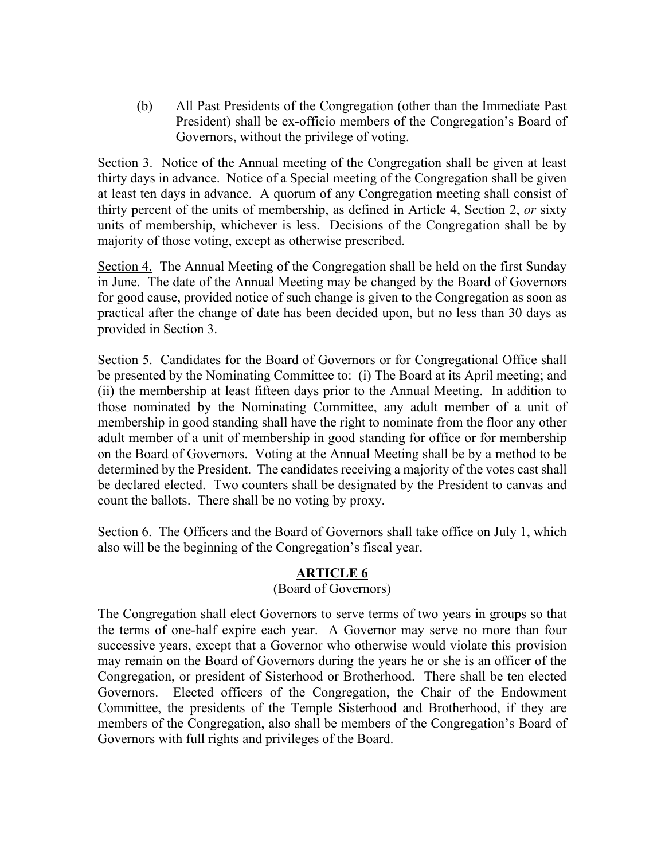(b) All Past Presidents of the Congregation (other than the Immediate Past President) shall be ex-officio members of the Congregation's Board of Governors, without the privilege of voting.

Section 3. Notice of the Annual meeting of the Congregation shall be given at least thirty days in advance. Notice of a Special meeting of the Congregation shall be given at least ten days in advance. A quorum of any Congregation meeting shall consist of thirty percent of the units of membership, as defined in Article 4, Section 2, *or* sixty units of membership, whichever is less. Decisions of the Congregation shall be by majority of those voting, except as otherwise prescribed.

Section 4. The Annual Meeting of the Congregation shall be held on the first Sunday in June. The date of the Annual Meeting may be changed by the Board of Governors for good cause, provided notice of such change is given to the Congregation as soon as practical after the change of date has been decided upon, but no less than 30 days as provided in Section 3.

Section 5. Candidates for the Board of Governors or for Congregational Office shall be presented by the Nominating Committee to: (i) The Board at its April meeting; and (ii) the membership at least fifteen days prior to the Annual Meeting. In addition to those nominated by the Nominating Committee, any adult member of a unit of membership in good standing shall have the right to nominate from the floor any other adult member of a unit of membership in good standing for office or for membership on the Board of Governors. Voting at the Annual Meeting shall be by a method to be determined by the President. The candidates receiving a majority of the votes cast shall be declared elected. Two counters shall be designated by the President to canvas and count the ballots. There shall be no voting by proxy.

Section 6. The Officers and the Board of Governors shall take office on July 1, which also will be the beginning of the Congregation's fiscal year.

# **ARTICLE 6**

# (Board of Governors)

The Congregation shall elect Governors to serve terms of two years in groups so that the terms of one-half expire each year. A Governor may serve no more than four successive years, except that a Governor who otherwise would violate this provision may remain on the Board of Governors during the years he or she is an officer of the Congregation, or president of Sisterhood or Brotherhood. There shall be ten elected Governors. Elected officers of the Congregation, the Chair of the Endowment Committee, the presidents of the Temple Sisterhood and Brotherhood, if they are members of the Congregation, also shall be members of the Congregation's Board of Governors with full rights and privileges of the Board.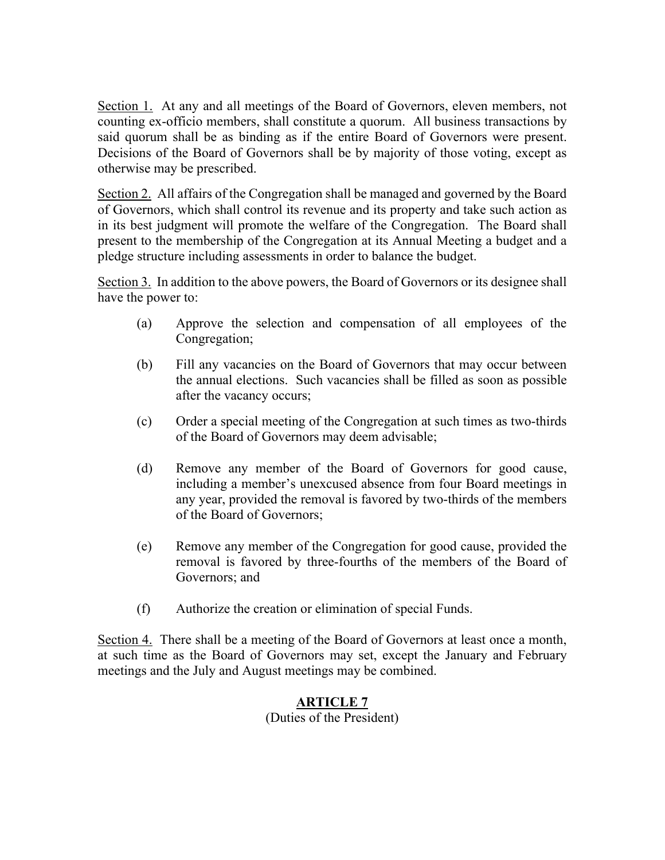Section 1. At any and all meetings of the Board of Governors, eleven members, not counting ex-officio members, shall constitute a quorum. All business transactions by said quorum shall be as binding as if the entire Board of Governors were present. Decisions of the Board of Governors shall be by majority of those voting, except as otherwise may be prescribed.

Section 2. All affairs of the Congregation shall be managed and governed by the Board of Governors, which shall control its revenue and its property and take such action as in its best judgment will promote the welfare of the Congregation. The Board shall present to the membership of the Congregation at its Annual Meeting a budget and a pledge structure including assessments in order to balance the budget.

Section 3. In addition to the above powers, the Board of Governors or its designee shall have the power to:

- (a) Approve the selection and compensation of all employees of the Congregation;
- (b) Fill any vacancies on the Board of Governors that may occur between the annual elections. Such vacancies shall be filled as soon as possible after the vacancy occurs;
- (c) Order a special meeting of the Congregation at such times as two-thirds of the Board of Governors may deem advisable;
- (d) Remove any member of the Board of Governors for good cause, including a member's unexcused absence from four Board meetings in any year, provided the removal is favored by two-thirds of the members of the Board of Governors;
- (e) Remove any member of the Congregation for good cause, provided the removal is favored by three-fourths of the members of the Board of Governors; and
- (f) Authorize the creation or elimination of special Funds.

Section 4. There shall be a meeting of the Board of Governors at least once a month, at such time as the Board of Governors may set, except the January and February meetings and the July and August meetings may be combined.

# **ARTICLE 7**

(Duties of the President)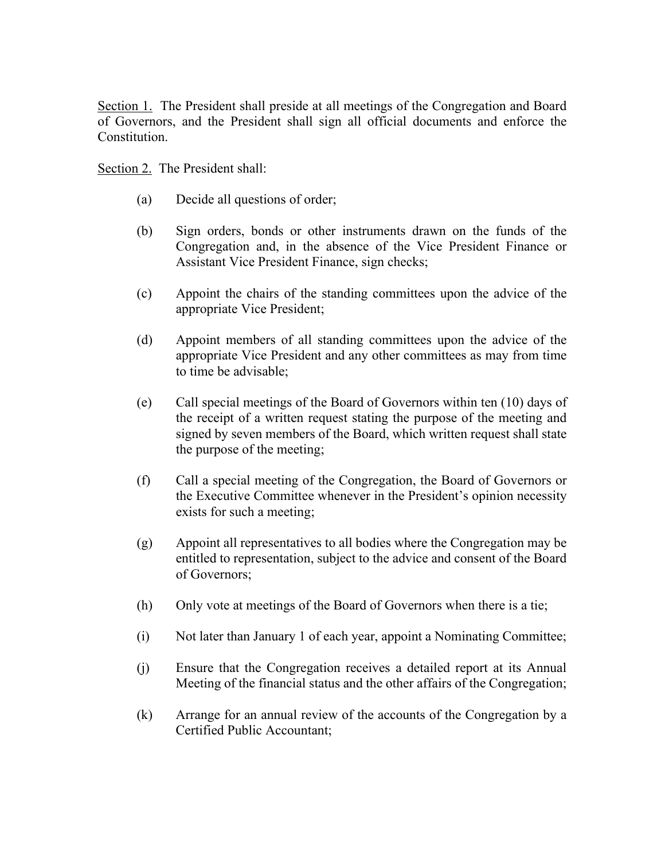Section 1. The President shall preside at all meetings of the Congregation and Board of Governors, and the President shall sign all official documents and enforce the Constitution.

Section 2. The President shall:

- (a) Decide all questions of order;
- (b) Sign orders, bonds or other instruments drawn on the funds of the Congregation and, in the absence of the Vice President Finance or Assistant Vice President Finance, sign checks;
- (c) Appoint the chairs of the standing committees upon the advice of the appropriate Vice President;
- (d) Appoint members of all standing committees upon the advice of the appropriate Vice President and any other committees as may from time to time be advisable;
- (e) Call special meetings of the Board of Governors within ten (10) days of the receipt of a written request stating the purpose of the meeting and signed by seven members of the Board, which written request shall state the purpose of the meeting;
- (f) Call a special meeting of the Congregation, the Board of Governors or the Executive Committee whenever in the President's opinion necessity exists for such a meeting;
- (g) Appoint all representatives to all bodies where the Congregation may be entitled to representation, subject to the advice and consent of the Board of Governors;
- (h) Only vote at meetings of the Board of Governors when there is a tie;
- (i) Not later than January 1 of each year, appoint a Nominating Committee;
- (j) Ensure that the Congregation receives a detailed report at its Annual Meeting of the financial status and the other affairs of the Congregation;
- (k) Arrange for an annual review of the accounts of the Congregation by a Certified Public Accountant;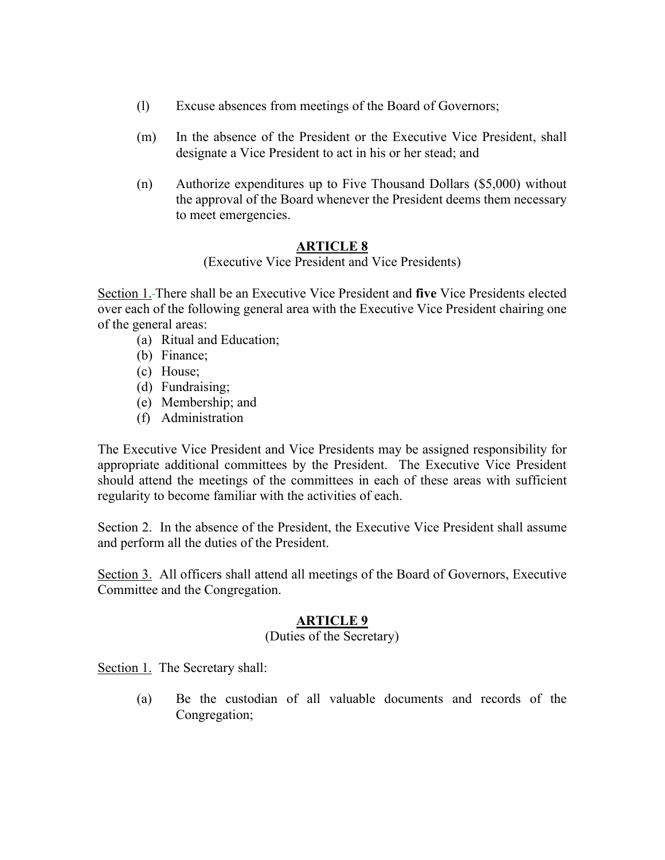- (l) Excuse absences from meetings of the Board of Governors;
- (m) In the absence of the President or the Executive Vice President, shall designate a Vice President to act in his or her stead; and
- (n) Authorize expenditures up to Five Thousand Dollars (\$5,000) without the approval of the Board whenever the President deems them necessary to meet emergencies.

# **ARTICLE 8**

(Executive Vice President and Vice Presidents)

Section 1. There shall be an Executive Vice President and **five** Vice Presidents elected over each of the following general area with the Executive Vice President chairing one of the general areas:

- (a) Ritual and Education;
- (b) Finance;
- (c) House;
- (d) Fundraising;
- (e) Membership; and
- (f) Administration

The Executive Vice President and Vice Presidents may be assigned responsibility for appropriate additional committees by the President. The Executive Vice President should attend the meetings of the committees in each of these areas with sufficient regularity to become familiar with the activities of each.

Section 2. In the absence of the President, the Executive Vice President shall assume and perform all the duties of the President.

Section 3. All officers shall attend all meetings of the Board of Governors, Executive Committee and the Congregation.

# **ARTICLE 9**

### (Duties of the Secretary)

Section 1. The Secretary shall:

(a) Be the custodian of all valuable documents and records of the Congregation;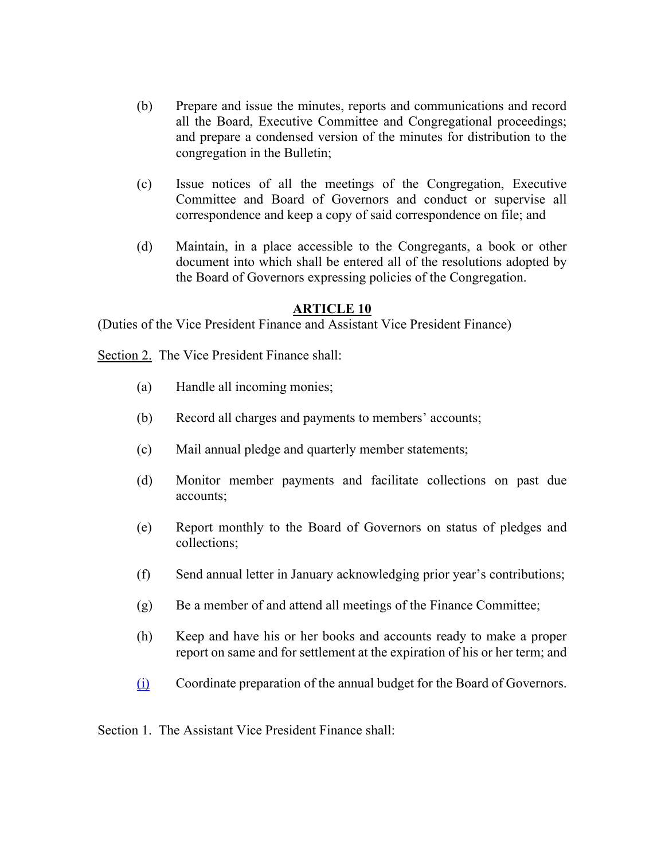- (b) Prepare and issue the minutes, reports and communications and record all the Board, Executive Committee and Congregational proceedings; and prepare a condensed version of the minutes for distribution to the congregation in the Bulletin;
- (c) Issue notices of all the meetings of the Congregation, Executive Committee and Board of Governors and conduct or supervise all correspondence and keep a copy of said correspondence on file; and
- (d) Maintain, in a place accessible to the Congregants, a book or other document into which shall be entered all of the resolutions adopted by the Board of Governors expressing policies of the Congregation.

#### **ARTICLE 10**

(Duties of the Vice President Finance and Assistant Vice President Finance)

Section 2. The Vice President Finance shall:

- (a) Handle all incoming monies;
- (b) Record all charges and payments to members' accounts;
- (c) Mail annual pledge and quarterly member statements;
- (d) Monitor member payments and facilitate collections on past due accounts;
- (e) Report monthly to the Board of Governors on status of pledges and collections;
- (f) Send annual letter in January acknowledging prior year's contributions;
- (g) Be a member of and attend all meetings of the Finance Committee;
- (h) Keep and have his or her books and accounts ready to make a proper report on same and for settlement at the expiration of his or her term; and
- (i) Coordinate preparation of the annual budget for the Board of Governors.

Section 1. The Assistant Vice President Finance shall: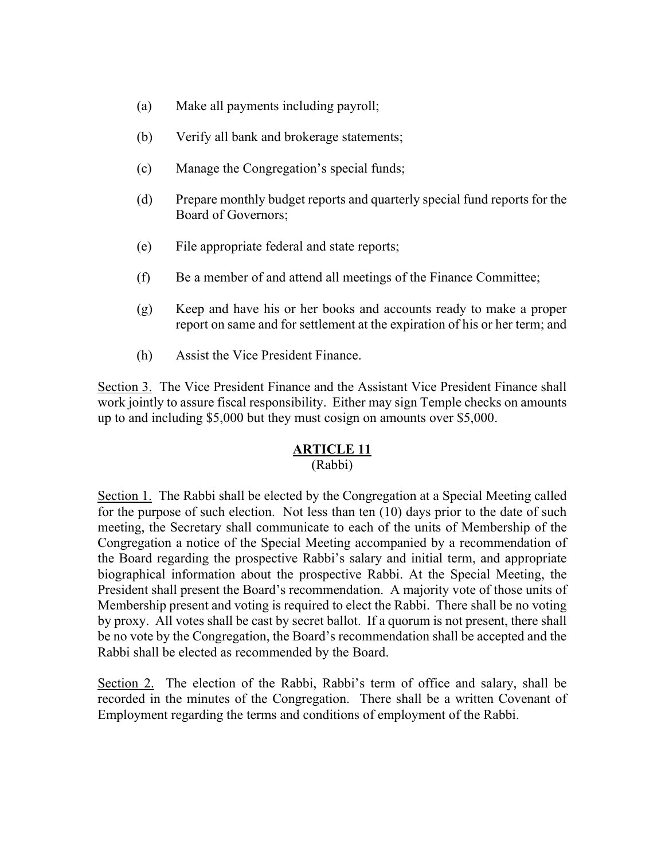- (a) Make all payments including payroll;
- (b) Verify all bank and brokerage statements;
- (c) Manage the Congregation's special funds;
- (d) Prepare monthly budget reports and quarterly special fund reports for the Board of Governors;
- (e) File appropriate federal and state reports;
- (f) Be a member of and attend all meetings of the Finance Committee;
- (g) Keep and have his or her books and accounts ready to make a proper report on same and for settlement at the expiration of his or her term; and
- (h) Assist the Vice President Finance.

Section 3. The Vice President Finance and the Assistant Vice President Finance shall work jointly to assure fiscal responsibility. Either may sign Temple checks on amounts up to and including \$5,000 but they must cosign on amounts over \$5,000.

#### **ARTICLE 11**

#### (Rabbi)

Section 1. The Rabbi shall be elected by the Congregation at a Special Meeting called for the purpose of such election. Not less than ten (10) days prior to the date of such meeting, the Secretary shall communicate to each of the units of Membership of the Congregation a notice of the Special Meeting accompanied by a recommendation of the Board regarding the prospective Rabbi's salary and initial term, and appropriate biographical information about the prospective Rabbi. At the Special Meeting, the President shall present the Board's recommendation. A majority vote of those units of Membership present and voting is required to elect the Rabbi. There shall be no voting by proxy. All votes shall be cast by secret ballot. If a quorum is not present, there shall be no vote by the Congregation, the Board's recommendation shall be accepted and the Rabbi shall be elected as recommended by the Board.

Section 2. The election of the Rabbi, Rabbi's term of office and salary, shall be recorded in the minutes of the Congregation. There shall be a written Covenant of Employment regarding the terms and conditions of employment of the Rabbi.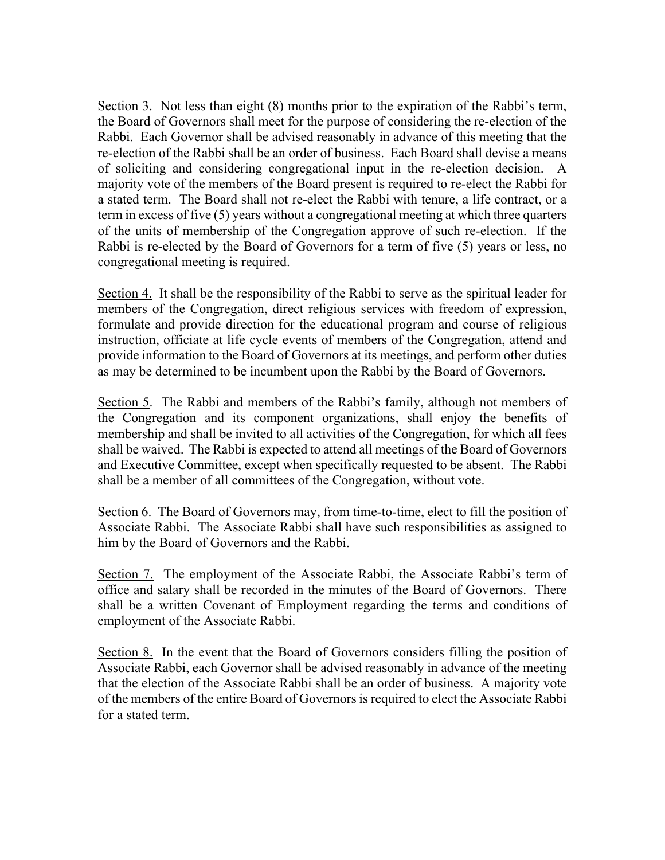Section 3. Not less than eight (8) months prior to the expiration of the Rabbi's term, the Board of Governors shall meet for the purpose of considering the re-election of the Rabbi. Each Governor shall be advised reasonably in advance of this meeting that the re-election of the Rabbi shall be an order of business. Each Board shall devise a means of soliciting and considering congregational input in the re-election decision. A majority vote of the members of the Board present is required to re-elect the Rabbi for a stated term. The Board shall not re-elect the Rabbi with tenure, a life contract, or a term in excess of five (5) years without a congregational meeting at which three quarters of the units of membership of the Congregation approve of such re-election. If the Rabbi is re-elected by the Board of Governors for a term of five (5) years or less, no congregational meeting is required.

Section 4. It shall be the responsibility of the Rabbi to serve as the spiritual leader for members of the Congregation, direct religious services with freedom of expression, formulate and provide direction for the educational program and course of religious instruction, officiate at life cycle events of members of the Congregation, attend and provide information to the Board of Governors at its meetings, and perform other duties as may be determined to be incumbent upon the Rabbi by the Board of Governors.

Section 5. The Rabbi and members of the Rabbi's family, although not members of the Congregation and its component organizations, shall enjoy the benefits of membership and shall be invited to all activities of the Congregation, for which all fees shall be waived. The Rabbi is expected to attend all meetings of the Board of Governors and Executive Committee, except when specifically requested to be absent. The Rabbi shall be a member of all committees of the Congregation, without vote.

Section 6. The Board of Governors may, from time-to-time, elect to fill the position of Associate Rabbi. The Associate Rabbi shall have such responsibilities as assigned to him by the Board of Governors and the Rabbi.

Section 7. The employment of the Associate Rabbi, the Associate Rabbi's term of office and salary shall be recorded in the minutes of the Board of Governors. There shall be a written Covenant of Employment regarding the terms and conditions of employment of the Associate Rabbi.

Section 8. In the event that the Board of Governors considers filling the position of Associate Rabbi, each Governor shall be advised reasonably in advance of the meeting that the election of the Associate Rabbi shall be an order of business. A majority vote of the members of the entire Board of Governors is required to elect the Associate Rabbi for a stated term.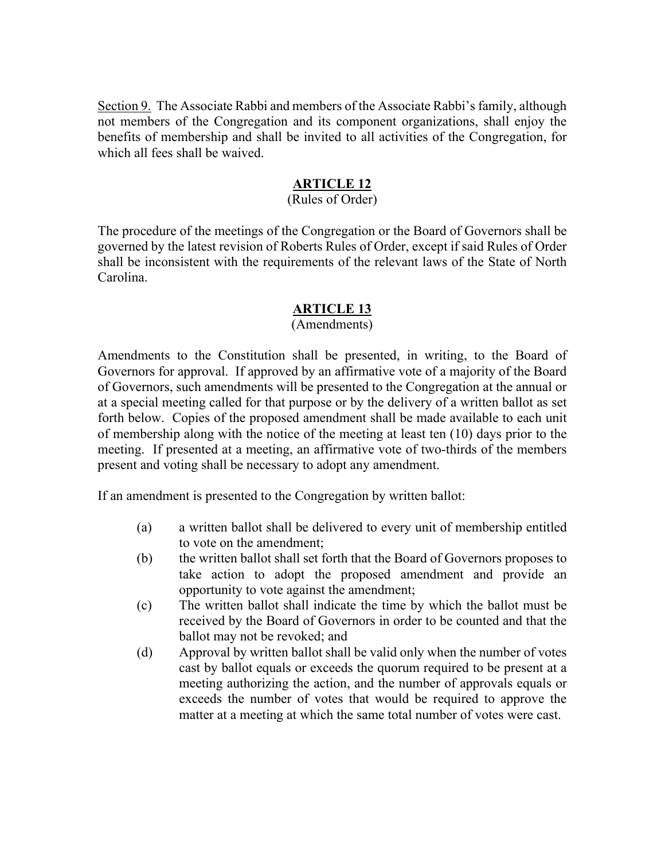Section 9. The Associate Rabbi and members of the Associate Rabbi's family, although not members of the Congregation and its component organizations, shall enjoy the benefits of membership and shall be invited to all activities of the Congregation, for which all fees shall be waived.

### **ARTICLE 12**

# (Rules of Order)

The procedure of the meetings of the Congregation or the Board of Governors shall be governed by the latest revision of Roberts Rules of Order, except if said Rules of Order shall be inconsistent with the requirements of the relevant laws of the State of North Carolina.

# **ARTICLE 13**

#### (Amendments)

Amendments to the Constitution shall be presented, in writing, to the Board of Governors for approval. If approved by an affirmative vote of a majority of the Board of Governors, such amendments will be presented to the Congregation at the annual or at a special meeting called for that purpose or by the delivery of a written ballot as set forth below. Copies of the proposed amendment shall be made available to each unit of membership along with the notice of the meeting at least ten (10) days prior to the meeting. If presented at a meeting, an affirmative vote of two-thirds of the members present and voting shall be necessary to adopt any amendment.

If an amendment is presented to the Congregation by written ballot:

- (a) a written ballot shall be delivered to every unit of membership entitled to vote on the amendment;
- (b) the written ballot shall set forth that the Board of Governors proposes to take action to adopt the proposed amendment and provide an opportunity to vote against the amendment;
- (c) The written ballot shall indicate the time by which the ballot must be received by the Board of Governors in order to be counted and that the ballot may not be revoked; and
- (d) Approval by written ballot shall be valid only when the number of votes cast by ballot equals or exceeds the quorum required to be present at a meeting authorizing the action, and the number of approvals equals or exceeds the number of votes that would be required to approve the matter at a meeting at which the same total number of votes were cast.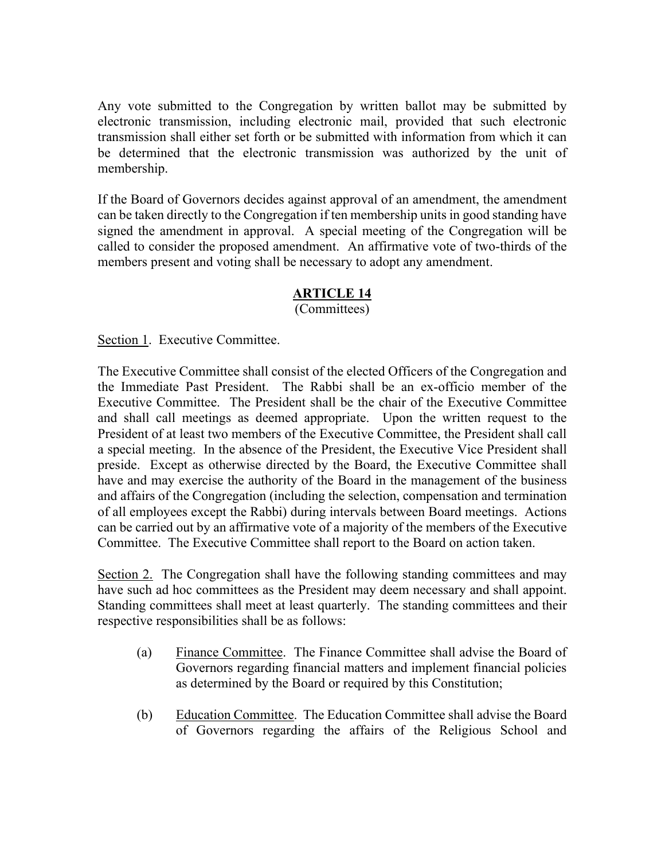Any vote submitted to the Congregation by written ballot may be submitted by electronic transmission, including electronic mail, provided that such electronic transmission shall either set forth or be submitted with information from which it can be determined that the electronic transmission was authorized by the unit of membership.

If the Board of Governors decides against approval of an amendment, the amendment can be taken directly to the Congregation if ten membership units in good standing have signed the amendment in approval. A special meeting of the Congregation will be called to consider the proposed amendment. An affirmative vote of two-thirds of the members present and voting shall be necessary to adopt any amendment.

### **ARTICLE 14**

(Committees)

Section 1. Executive Committee.

The Executive Committee shall consist of the elected Officers of the Congregation and the Immediate Past President. The Rabbi shall be an ex-officio member of the Executive Committee. The President shall be the chair of the Executive Committee and shall call meetings as deemed appropriate. Upon the written request to the President of at least two members of the Executive Committee, the President shall call a special meeting. In the absence of the President, the Executive Vice President shall preside. Except as otherwise directed by the Board, the Executive Committee shall have and may exercise the authority of the Board in the management of the business and affairs of the Congregation (including the selection, compensation and termination of all employees except the Rabbi) during intervals between Board meetings. Actions can be carried out by an affirmative vote of a majority of the members of the Executive Committee. The Executive Committee shall report to the Board on action taken.

Section 2. The Congregation shall have the following standing committees and may have such ad hoc committees as the President may deem necessary and shall appoint. Standing committees shall meet at least quarterly. The standing committees and their respective responsibilities shall be as follows:

- (a) Finance Committee. The Finance Committee shall advise the Board of Governors regarding financial matters and implement financial policies as determined by the Board or required by this Constitution;
- (b) Education Committee. The Education Committee shall advise the Board of Governors regarding the affairs of the Religious School and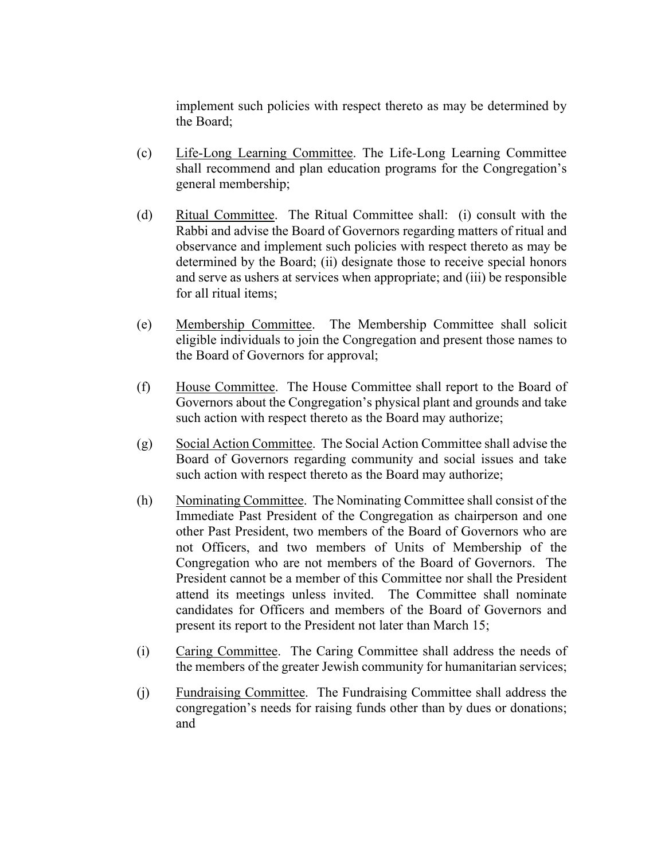implement such policies with respect thereto as may be determined by the Board;

- (c) Life-Long Learning Committee. The Life-Long Learning Committee shall recommend and plan education programs for the Congregation's general membership;
- (d) Ritual Committee. The Ritual Committee shall: (i) consult with the Rabbi and advise the Board of Governors regarding matters of ritual and observance and implement such policies with respect thereto as may be determined by the Board; (ii) designate those to receive special honors and serve as ushers at services when appropriate; and (iii) be responsible for all ritual items;
- (e) Membership Committee. The Membership Committee shall solicit eligible individuals to join the Congregation and present those names to the Board of Governors for approval;
- (f) House Committee. The House Committee shall report to the Board of Governors about the Congregation's physical plant and grounds and take such action with respect thereto as the Board may authorize;
- (g) Social Action Committee. The Social Action Committee shall advise the Board of Governors regarding community and social issues and take such action with respect thereto as the Board may authorize;
- (h) Nominating Committee. The Nominating Committee shall consist of the Immediate Past President of the Congregation as chairperson and one other Past President, two members of the Board of Governors who are not Officers, and two members of Units of Membership of the Congregation who are not members of the Board of Governors. The President cannot be a member of this Committee nor shall the President attend its meetings unless invited. The Committee shall nominate candidates for Officers and members of the Board of Governors and present its report to the President not later than March 15;
- (i) Caring Committee. The Caring Committee shall address the needs of the members of the greater Jewish community for humanitarian services;
- (j) Fundraising Committee. The Fundraising Committee shall address the congregation's needs for raising funds other than by dues or donations; and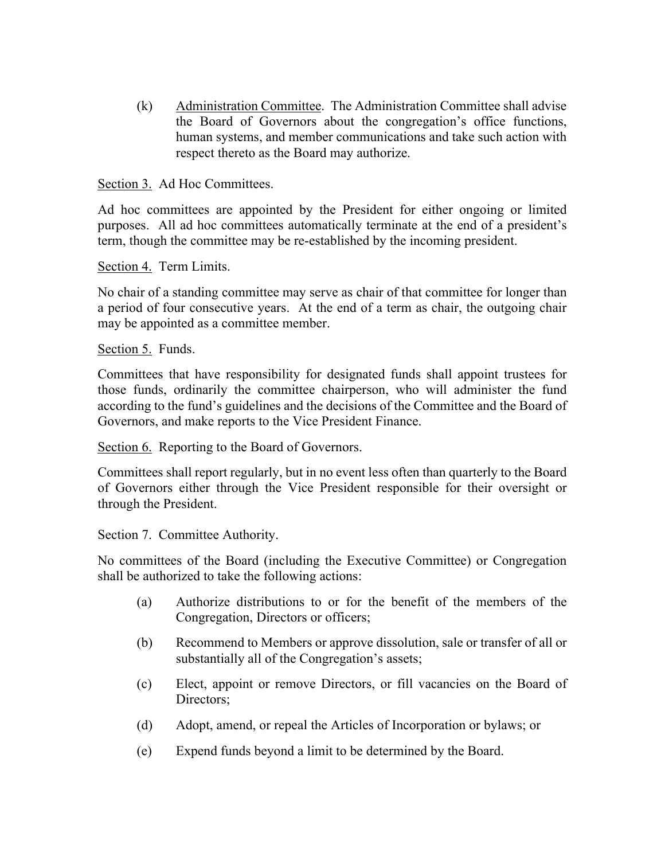(k) Administration Committee. The Administration Committee shall advise the Board of Governors about the congregation's office functions, human systems, and member communications and take such action with respect thereto as the Board may authorize.

Section 3. Ad Hoc Committees.

Ad hoc committees are appointed by the President for either ongoing or limited purposes. All ad hoc committees automatically terminate at the end of a president's term, though the committee may be re-established by the incoming president.

Section 4. Term Limits.

No chair of a standing committee may serve as chair of that committee for longer than a period of four consecutive years. At the end of a term as chair, the outgoing chair may be appointed as a committee member.

Section 5. Funds.

Committees that have responsibility for designated funds shall appoint trustees for those funds, ordinarily the committee chairperson, who will administer the fund according to the fund's guidelines and the decisions of the Committee and the Board of Governors, and make reports to the Vice President Finance.

Section 6. Reporting to the Board of Governors.

Committees shall report regularly, but in no event less often than quarterly to the Board of Governors either through the Vice President responsible for their oversight or through the President.

Section 7. Committee Authority.

No committees of the Board (including the Executive Committee) or Congregation shall be authorized to take the following actions:

- (a) Authorize distributions to or for the benefit of the members of the Congregation, Directors or officers;
- (b) Recommend to Members or approve dissolution, sale or transfer of all or substantially all of the Congregation's assets;
- (c) Elect, appoint or remove Directors, or fill vacancies on the Board of Directors;
- (d) Adopt, amend, or repeal the Articles of Incorporation or bylaws; or
- (e) Expend funds beyond a limit to be determined by the Board.